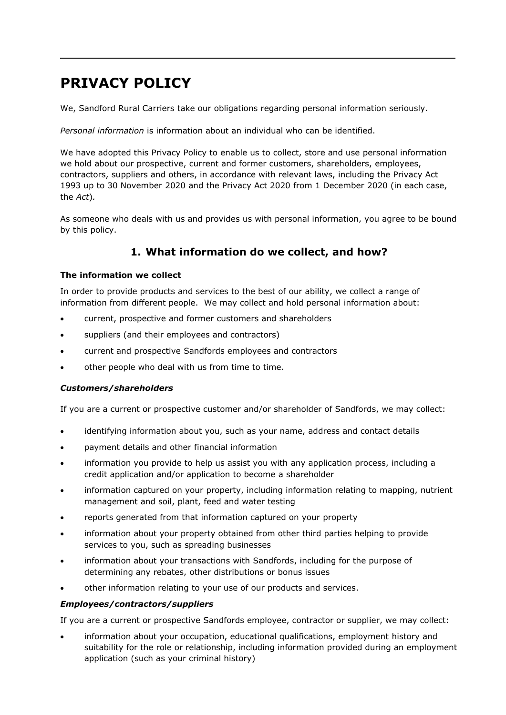# **PRIVACY POLICY**

We, Sandford Rural Carriers take our obligations regarding personal information seriously.

 $\mathcal{L}_\mathcal{L} = \{ \mathcal{L}_\mathcal{L} = \{ \mathcal{L}_\mathcal{L} = \{ \mathcal{L}_\mathcal{L} = \{ \mathcal{L}_\mathcal{L} = \{ \mathcal{L}_\mathcal{L} = \{ \mathcal{L}_\mathcal{L} = \{ \mathcal{L}_\mathcal{L} = \{ \mathcal{L}_\mathcal{L} = \{ \mathcal{L}_\mathcal{L} = \{ \mathcal{L}_\mathcal{L} = \{ \mathcal{L}_\mathcal{L} = \{ \mathcal{L}_\mathcal{L} = \{ \mathcal{L}_\mathcal{L} = \{ \mathcal{L}_\mathcal{$ 

*Personal information* is information about an individual who can be identified.

We have adopted this Privacy Policy to enable us to collect, store and use personal information we hold about our prospective, current and former customers, shareholders, employees, contractors, suppliers and others, in accordance with relevant laws, including the Privacy Act 1993 up to 30 November 2020 and the Privacy Act 2020 from 1 December 2020 (in each case, the *Act*)*.*

As someone who deals with us and provides us with personal information, you agree to be bound by this policy.

### **1. What information do we collect, and how?**

#### **The information we collect**

In order to provide products and services to the best of our ability, we collect a range of information from different people. We may collect and hold personal information about:

- current, prospective and former customers and shareholders
- suppliers (and their employees and contractors)
- current and prospective Sandfords employees and contractors
- other people who deal with us from time to time.

#### *Customers/shareholders*

If you are a current or prospective customer and/or shareholder of Sandfords, we may collect:

- identifying information about you, such as your name, address and contact details
- payment details and other financial information
- information you provide to help us assist you with any application process, including a credit application and/or application to become a shareholder
- information captured on your property, including information relating to mapping, nutrient management and soil, plant, feed and water testing
- reports generated from that information captured on your property
- information about your property obtained from other third parties helping to provide services to you, such as spreading businesses
- information about your transactions with Sandfords, including for the purpose of determining any rebates, other distributions or bonus issues
- other information relating to your use of our products and services.

#### *Employees/contractors/suppliers*

If you are a current or prospective Sandfords employee, contractor or supplier, we may collect:

• information about your occupation, educational qualifications, employment history and suitability for the role or relationship, including information provided during an employment application (such as your criminal history)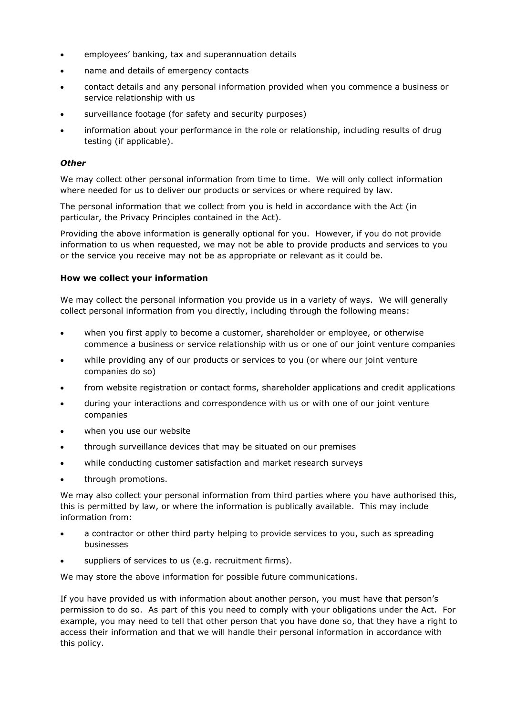- employees' banking, tax and superannuation details
- name and details of emergency contacts
- contact details and any personal information provided when you commence a business or service relationship with us
- surveillance footage (for safety and security purposes)
- information about your performance in the role or relationship, including results of drug testing (if applicable).

#### *Other*

We may collect other personal information from time to time. We will only collect information where needed for us to deliver our products or services or where required by law.

The personal information that we collect from you is held in accordance with the Act (in particular, the Privacy Principles contained in the Act).

Providing the above information is generally optional for you. However, if you do not provide information to us when requested, we may not be able to provide products and services to you or the service you receive may not be as appropriate or relevant as it could be.

#### **How we collect your information**

We may collect the personal information you provide us in a variety of ways. We will generally collect personal information from you directly, including through the following means:

- when you first apply to become a customer, shareholder or employee, or otherwise commence a business or service relationship with us or one of our joint venture companies
- while providing any of our products or services to you (or where our joint venture companies do so)
- from website registration or contact forms, shareholder applications and credit applications
- during your interactions and correspondence with us or with one of our joint venture companies
- when you use our website
- through surveillance devices that may be situated on our premises
- while conducting customer satisfaction and market research surveys
- through promotions.

We may also collect your personal information from third parties where you have authorised this, this is permitted by law, or where the information is publically available. This may include information from:

- a contractor or other third party helping to provide services to you, such as spreading businesses
- suppliers of services to us (e.g. recruitment firms).

We may store the above information for possible future communications.

If you have provided us with information about another person, you must have that person's permission to do so. As part of this you need to comply with your obligations under the Act. For example, you may need to tell that other person that you have done so, that they have a right to access their information and that we will handle their personal information in accordance with this policy.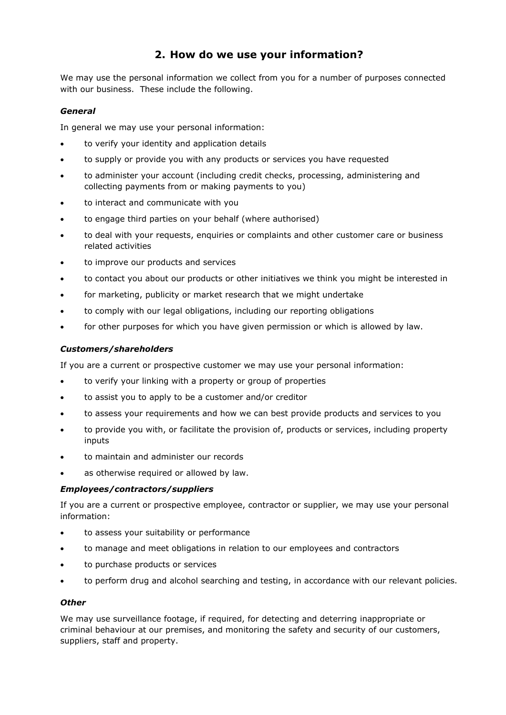### **2. How do we use your information?**

We may use the personal information we collect from you for a number of purposes connected with our business. These include the following.

#### *General*

In general we may use your personal information:

- to verify your identity and application details
- to supply or provide you with any products or services you have requested
- to administer your account (including credit checks, processing, administering and collecting payments from or making payments to you)
- to interact and communicate with you
- to engage third parties on your behalf (where authorised)
- to deal with your requests, enquiries or complaints and other customer care or business related activities
- to improve our products and services
- to contact you about our products or other initiatives we think you might be interested in
- for marketing, publicity or market research that we might undertake
- to comply with our legal obligations, including our reporting obligations
- for other purposes for which you have given permission or which is allowed by law.

#### *Customers/shareholders*

If you are a current or prospective customer we may use your personal information:

- to verify your linking with a property or group of properties
- to assist you to apply to be a customer and/or creditor
- to assess your requirements and how we can best provide products and services to you
- to provide you with, or facilitate the provision of, products or services, including property inputs
- to maintain and administer our records
- as otherwise required or allowed by law.

#### *Employees/contractors/suppliers*

If you are a current or prospective employee, contractor or supplier, we may use your personal information:

- to assess your suitability or performance
- to manage and meet obligations in relation to our employees and contractors
- to purchase products or services
- to perform drug and alcohol searching and testing, in accordance with our relevant policies.

#### *Other*

We may use surveillance footage, if required, for detecting and deterring inappropriate or criminal behaviour at our premises, and monitoring the safety and security of our customers, suppliers, staff and property.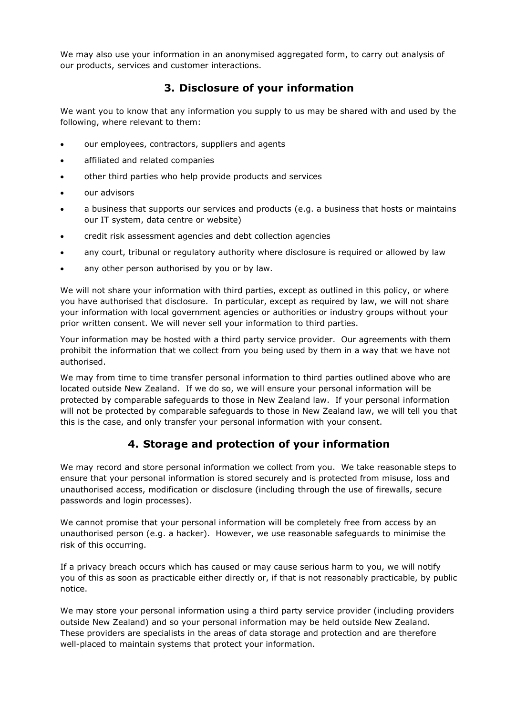We may also use your information in an anonymised aggregated form, to carry out analysis of our products, services and customer interactions.

### **3. Disclosure of your information**

We want you to know that any information you supply to us may be shared with and used by the following, where relevant to them:

- our employees, contractors, suppliers and agents
- affiliated and related companies
- other third parties who help provide products and services
- our advisors
- a business that supports our services and products (e.g. a business that hosts or maintains our IT system, data centre or website)
- credit risk assessment agencies and debt collection agencies
- any court, tribunal or regulatory authority where disclosure is required or allowed by law
- any other person authorised by you or by law.

We will not share your information with third parties, except as outlined in this policy, or where you have authorised that disclosure. In particular, except as required by law, we will not share your information with local government agencies or authorities or industry groups without your prior written consent. We will never sell your information to third parties.

Your information may be hosted with a third party service provider. Our agreements with them prohibit the information that we collect from you being used by them in a way that we have not authorised.

We may from time to time transfer personal information to third parties outlined above who are located outside New Zealand. If we do so, we will ensure your personal information will be protected by comparable safeguards to those in New Zealand law. If your personal information will not be protected by comparable safeguards to those in New Zealand law, we will tell you that this is the case, and only transfer your personal information with your consent.

### **4. Storage and protection of your information**

We may record and store personal information we collect from you. We take reasonable steps to ensure that your personal information is stored securely and is protected from misuse, loss and unauthorised access, modification or disclosure (including through the use of firewalls, secure passwords and login processes).

We cannot promise that your personal information will be completely free from access by an unauthorised person (e.g. a hacker). However, we use reasonable safeguards to minimise the risk of this occurring.

If a privacy breach occurs which has caused or may cause serious harm to you, we will notify you of this as soon as practicable either directly or, if that is not reasonably practicable, by public notice.

We may store your personal information using a third party service provider (including providers outside New Zealand) and so your personal information may be held outside New Zealand. These providers are specialists in the areas of data storage and protection and are therefore well-placed to maintain systems that protect your information.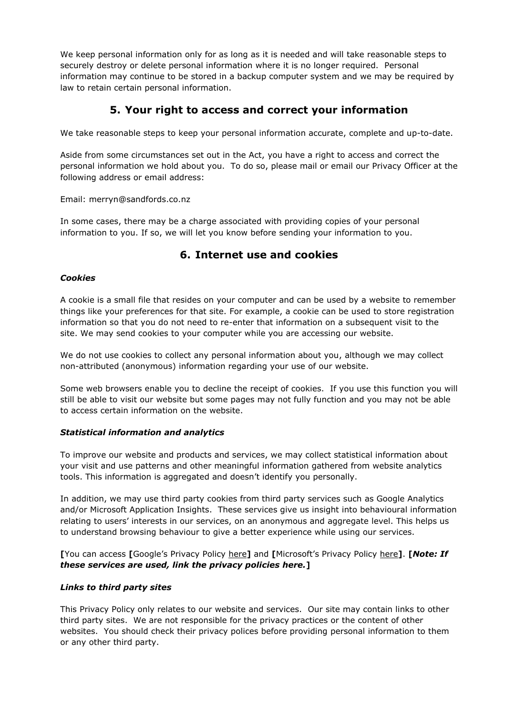We keep personal information only for as long as it is needed and will take reasonable steps to securely destroy or delete personal information where it is no longer required. Personal information may continue to be stored in a backup computer system and we may be required by law to retain certain personal information.

### **5. Your right to access and correct your information**

We take reasonable steps to keep your personal information accurate, complete and up-to-date.

Aside from some circumstances set out in the Act, you have a right to access and correct the personal information we hold about you. To do so, please mail or email our Privacy Officer at the following address or email address:

Email: merryn@sandfords.co.nz

In some cases, there may be a charge associated with providing copies of your personal information to you. If so, we will let you know before sending your information to you.

### **6. Internet use and cookies**

#### *Cookies*

A cookie is a small file that resides on your computer and can be used by a website to remember things like your preferences for that site. For example, a cookie can be used to store registration information so that you do not need to re-enter that information on a subsequent visit to the site. We may send cookies to your computer while you are accessing our website.

We do not use cookies to collect any personal information about you, although we may collect non-attributed (anonymous) information regarding your use of our website.

Some web browsers enable you to decline the receipt of cookies. If you use this function you will still be able to visit our website but some pages may not fully function and you may not be able to access certain information on the website.

#### *Statistical information and analytics*

To improve our website and products and services, we may collect statistical information about your visit and use patterns and other meaningful information gathered from website analytics tools. This information is aggregated and doesn't identify you personally.

In addition, we may use third party cookies from third party services such as Google Analytics and/or Microsoft Application Insights. These services give us insight into behavioural information relating to users' interests in our services, on an anonymous and aggregate level. This helps us to understand browsing behaviour to give a better experience while using our services.

**[**You can access **[**Google's Privacy Policy here**]** and **[**Microsoft's Privacy Policy here**]**. **[***Note: If these services are used, link the privacy policies here.***]**

#### *Links to third party sites*

This Privacy Policy only relates to our website and services. Our site may contain links to other third party sites. We are not responsible for the privacy practices or the content of other websites. You should check their privacy polices before providing personal information to them or any other third party.